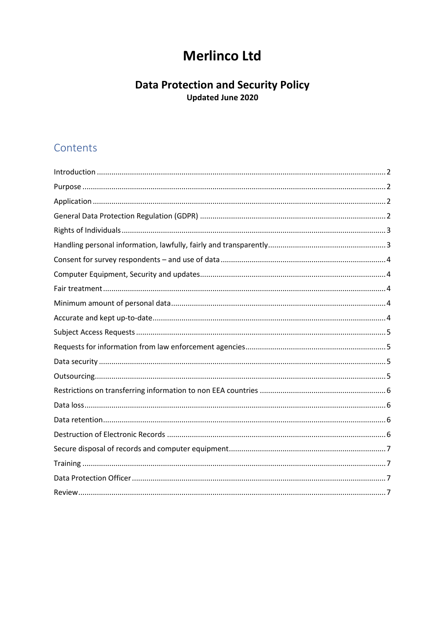## **Merlinco Ltd**

# Data Protection and Security Policy<br>Updated June 2020

### Contents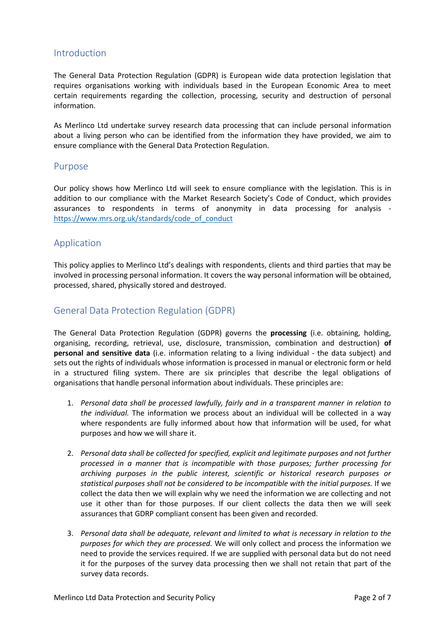#### <span id="page-1-0"></span>Introduction

The General Data Protection Regulation (GDPR) is European wide data protection legislation that requires organisations working with individuals based in the European Economic Area to meet certain requirements regarding the collection, processing, security and destruction of personal information.

As Merlinco Ltd undertake survey research data processing that can include personal information about a living person who can be identified from the information they have provided, we aim to ensure compliance with the General Data Protection Regulation.

#### <span id="page-1-1"></span>Purpose

Our policy shows how Merlinco Ltd will seek to ensure compliance with the legislation. This is in addition to our compliance with the Market Research Society's Code of Conduct, which provides assurances to respondents in terms of anonymity in data processing for analysis [https://www.mrs.org.uk/standards/code\\_of\\_conduct](https://www.mrs.org.uk/standards/code_of_conduct)

#### <span id="page-1-2"></span>Application

This policy applies to Merlinco Ltd's dealings with respondents, clients and third parties that may be involved in processing personal information. It covers the way personal information will be obtained, processed, shared, physically stored and destroyed.

#### <span id="page-1-3"></span>General Data Protection Regulation (GDPR)

The General Data Protection Regulation (GDPR) governs the **processing** (i.e. obtaining, holding, organising, recording, retrieval, use, disclosure, transmission, combination and destruction) **of personal and sensitive data** (i.e. information relating to a living individual - the data subject) and sets out the rights of individuals whose information is processed in manual or electronic form or held in a structured filing system. There are six principles that describe the legal obligations of organisations that handle personal information about individuals. These principles are:

- 1. *Personal data shall be processed lawfully, fairly and in a transparent manner in relation to the individual.* The information we process about an individual will be collected in a way where respondents are fully informed about how that information will be used, for what purposes and how we will share it.
- 2. *Personal data shall be collected for specified, explicit and legitimate purposes and not further processed in a manner that is incompatible with those purposes; further processing for archiving purposes in the public interest, scientific or historical research purposes or statistical purposes shall not be considered to be incompatible with the initial purposes.* If we collect the data then we will explain why we need the information we are collecting and not use it other than for those purposes. If our client collects the data then we will seek assurances that GDRP compliant consent has been given and recorded.
- 3. *Personal data shall be adequate, relevant and limited to what is necessary in relation to the purposes for which they are processed.* We will only collect and process the information we need to provide the services required. If we are supplied with personal data but do not need it for the purposes of the survey data processing then we shall not retain that part of the survey data records.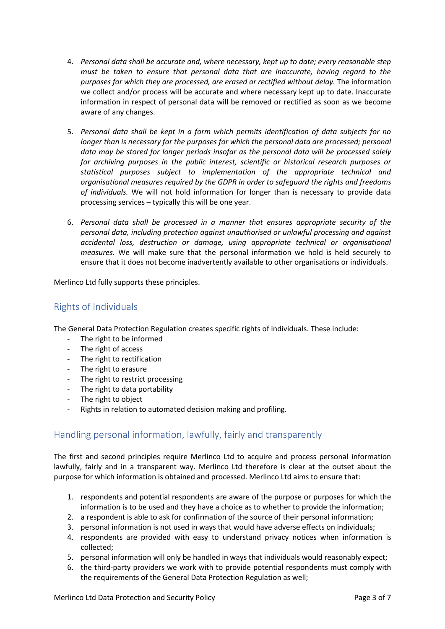- 4. *Personal data shall be accurate and, where necessary, kept up to date; every reasonable step must be taken to ensure that personal data that are inaccurate, having regard to the purposes for which they are processed, are erased or rectified without delay.* The information we collect and/or process will be accurate and where necessary kept up to date. Inaccurate information in respect of personal data will be removed or rectified as soon as we become aware of any changes.
- 5. *Personal data shall be kept in a form which permits identification of data subjects for no longer than is necessary for the purposes for which the personal data are processed; personal data may be stored for longer periods insofar as the personal data will be processed solely for archiving purposes in the public interest, scientific or historical research purposes or statistical purposes subject to implementation of the appropriate technical and organisational measures required by the GDPR in order to safeguard the rights and freedoms of individuals.* We will not hold information for longer than is necessary to provide data processing services – typically this will be one year.
- 6. *Personal data shall be processed in a manner that ensures appropriate security of the personal data, including protection against unauthorised or unlawful processing and against accidental loss, destruction or damage, using appropriate technical or organisational measures.* We will make sure that the personal information we hold is held securely to ensure that it does not become inadvertently available to other organisations or individuals.

Merlinco Ltd fully supports these principles.

#### <span id="page-2-0"></span>Rights of Individuals

The General Data Protection Regulation creates specific rights of individuals. These include:

- The right to be informed
- The right of access
- The right to rectification
- The right to erasure
- The right to restrict processing
- The right to data portability
- The right to object
- Rights in relation to automated decision making and profiling.

#### <span id="page-2-1"></span>Handling personal information, lawfully, fairly and transparently

The first and second principles require Merlinco Ltd to acquire and process personal information lawfully, fairly and in a transparent way. Merlinco Ltd therefore is clear at the outset about the purpose for which information is obtained and processed. Merlinco Ltd aims to ensure that:

- 1. respondents and potential respondents are aware of the purpose or purposes for which the information is to be used and they have a choice as to whether to provide the information;
- 2. a respondent is able to ask for confirmation of the source of their personal information;
- 3. personal information is not used in ways that would have adverse effects on individuals;
- 4. respondents are provided with easy to understand privacy notices when information is collected;
- 5. personal information will only be handled in ways that individuals would reasonably expect;
- 6. the third-party providers we work with to provide potential respondents must comply with the requirements of the General Data Protection Regulation as well;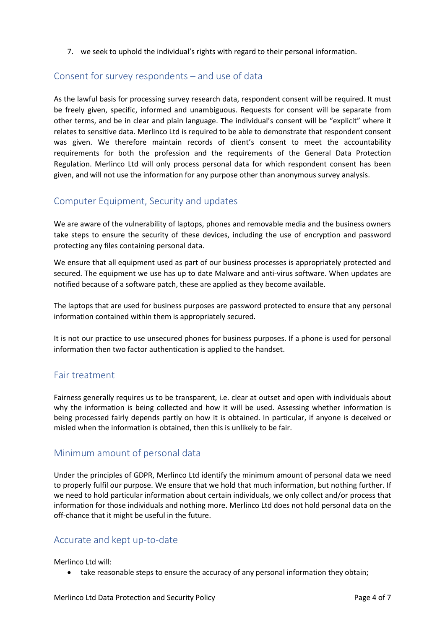7. we seek to uphold the individual's rights with regard to their personal information.

#### <span id="page-3-0"></span>Consent for survey respondents – and use of data

As the lawful basis for processing survey research data, respondent consent will be required. It must be freely given, specific, informed and unambiguous. Requests for consent will be separate from other terms, and be in clear and plain language. The individual's consent will be "explicit" where it relates to sensitive data. Merlinco Ltd is required to be able to demonstrate that respondent consent was given. We therefore maintain records of client's consent to meet the accountability requirements for both the profession and the requirements of the General Data Protection Regulation. Merlinco Ltd will only process personal data for which respondent consent has been given, and will not use the information for any purpose other than anonymous survey analysis.

#### <span id="page-3-1"></span>Computer Equipment, Security and updates

We are aware of the vulnerability of laptops, phones and removable media and the business owners take steps to ensure the security of these devices, including the use of encryption and password protecting any files containing personal data.

We ensure that all equipment used as part of our business processes is appropriately protected and secured. The equipment we use has up to date Malware and anti-virus software. When updates are notified because of a software patch, these are applied as they become available.

The laptops that are used for business purposes are password protected to ensure that any personal information contained within them is appropriately secured.

It is not our practice to use unsecured phones for business purposes. If a phone is used for personal information then two factor authentication is applied to the handset.

#### <span id="page-3-2"></span>Fair treatment

Fairness generally requires us to be transparent, i.e. clear at outset and open with individuals about why the information is being collected and how it will be used. Assessing whether information is being processed fairly depends partly on how it is obtained. In particular, if anyone is deceived or misled when the information is obtained, then this is unlikely to be fair.

#### <span id="page-3-3"></span>Minimum amount of personal data

Under the principles of GDPR, Merlinco Ltd identify the minimum amount of personal data we need to properly fulfil our purpose. We ensure that we hold that much information, but nothing further. If we need to hold particular information about certain individuals, we only collect and/or process that information for those individuals and nothing more. Merlinco Ltd does not hold personal data on the off-chance that it might be useful in the future.

#### <span id="page-3-4"></span>Accurate and kept up-to-date

Merlinco Ltd will:

• take reasonable steps to ensure the accuracy of any personal information they obtain;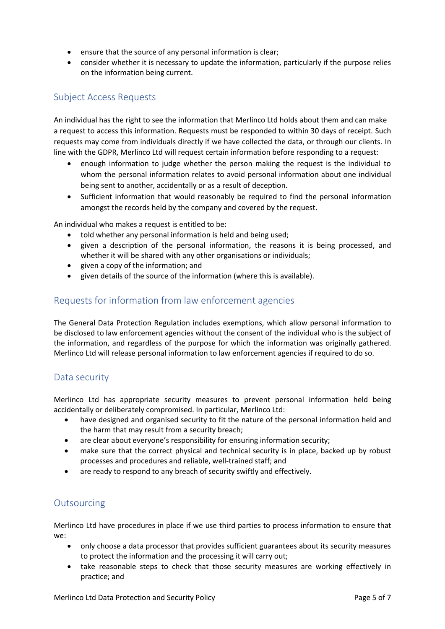- ensure that the source of any personal information is clear;
- consider whether it is necessary to update the information, particularly if the purpose relies on the information being current.

#### <span id="page-4-0"></span>Subject Access Requests

An individual has the right to see the information that Merlinco Ltd holds about them and can make a request to access this information. Requests must be responded to within 30 days of receipt. Such requests may come from individuals directly if we have collected the data, or through our clients. In line with the GDPR, Merlinco Ltd will request certain information before responding to a request:

- enough information to judge whether the person making the request is the individual to whom the personal information relates to avoid personal information about one individual being sent to another, accidentally or as a result of deception.
- Sufficient information that would reasonably be required to find the personal information amongst the records held by the company and covered by the request.

An individual who makes a request is entitled to be:

- told whether any personal information is held and being used;
- given a description of the personal information, the reasons it is being processed, and whether it will be shared with any other organisations or individuals;
- given a copy of the information; and
- given details of the source of the information (where this is available).

#### <span id="page-4-1"></span>Requests for information from law enforcement agencies

The General Data Protection Regulation includes exemptions, which allow personal information to be disclosed to law enforcement agencies without the consent of the individual who is the subject of the information, and regardless of the purpose for which the information was originally gathered. Merlinco Ltd will release personal information to law enforcement agencies if required to do so.

#### <span id="page-4-2"></span>Data security

Merlinco Ltd has appropriate security measures to prevent personal information held being accidentally or deliberately compromised. In particular, Merlinco Ltd:

- have designed and organised security to fit the nature of the personal information held and the harm that may result from a security breach;
- are clear about everyone's responsibility for ensuring information security;
- make sure that the correct physical and technical security is in place, backed up by robust processes and procedures and reliable, well-trained staff; and
- are ready to respond to any breach of security swiftly and effectively.

#### <span id="page-4-3"></span>**Outsourcing**

Merlinco Ltd have procedures in place if we use third parties to process information to ensure that we:

- only choose a data processor that provides sufficient guarantees about its security measures to protect the information and the processing it will carry out;
- take reasonable steps to check that those security measures are working effectively in practice; and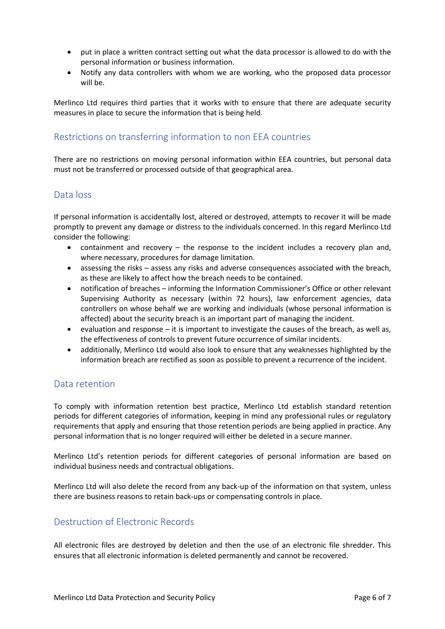- put in place a written contract setting out what the data processor is allowed to do with the personal information or business information.
- Notify any data controllers with whom we are working, who the proposed data processor will be.

Merlinco Ltd requires third parties that it works with to ensure that there are adequate security measures in place to secure the information that is being held.

#### <span id="page-5-0"></span>Restrictions on transferring information to non EEA countries

There are no restrictions on moving personal information within EEA countries, but personal data must not be transferred or processed outside of that geographical area.

#### <span id="page-5-1"></span>Data loss

If personal information is accidentally lost, altered or destroyed, attempts to recover it will be made promptly to prevent any damage or distress to the individuals concerned. In this regard Merlinco Ltd consider the following:

- containment and recovery the response to the incident includes a recovery plan and, where necessary, procedures for damage limitation.
- assessing the risks assess any risks and adverse consequences associated with the breach, as these are likely to affect how the breach needs to be contained.
- notification of breaches informing the Information Commissioner's Office or other relevant Supervising Authority as necessary (within 72 hours), law enforcement agencies, data controllers on whose behalf we are working and individuals (whose personal information is affected) about the security breach is an important part of managing the incident.
- evaluation and response it is important to investigate the causes of the breach, as well as, the effectiveness of controls to prevent future occurrence of similar incidents.
- additionally, Merlinco Ltd would also look to ensure that any weaknesses highlighted by the information breach are rectified as soon as possible to prevent a recurrence of the incident.

#### <span id="page-5-2"></span>Data retention

To comply with information retention best practice, Merlinco Ltd establish standard retention periods for different categories of information, keeping in mind any professional rules or regulatory requirements that apply and ensuring that those retention periods are being applied in practice. Any personal information that is no longer required will either be deleted in a secure manner.

Merlinco Ltd's retention periods for different categories of personal information are based on individual business needs and contractual obligations.

Merlinco Ltd will also delete the record from any back-up of the information on that system, unless there are business reasons to retain back-ups or compensating controls in place.

#### <span id="page-5-3"></span>Destruction of Electronic Records

All electronic files are destroyed by deletion and then the use of an electronic file shredder. This ensures that all electronic information is deleted permanently and cannot be recovered.